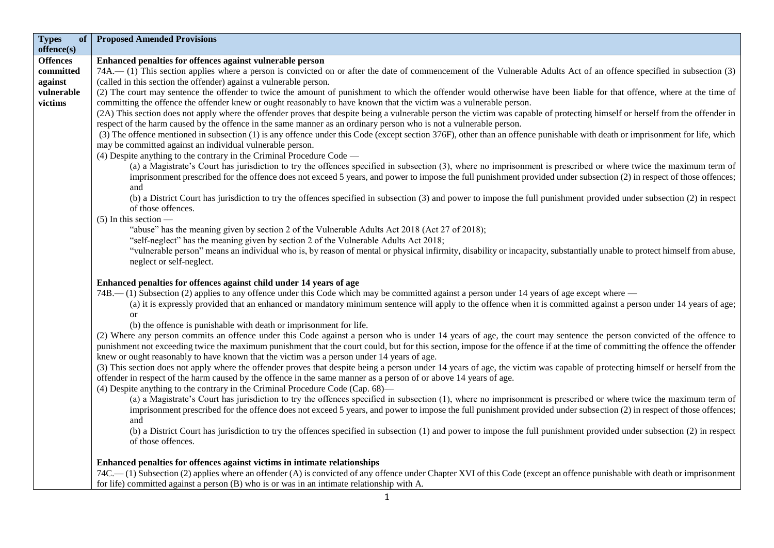| <b>Types</b><br>of<br>offence(s) | <b>Proposed Amended Provisions</b>                                                                                                                                             |
|----------------------------------|--------------------------------------------------------------------------------------------------------------------------------------------------------------------------------|
| <b>Offences</b>                  | Enhanced penalties for offences against vulnerable person                                                                                                                      |
| committed                        | 74A.—(1) This section applies where a person is convicted on or after the date of commencement of the Vulnerable Adults Act of an offence specified in subsection (3)          |
| against                          | (called in this section the offender) against a vulnerable person.                                                                                                             |
| vulnerable                       | (2) The court may sentence the offender to twice the amount of punishment to which the offender would otherwise have been liable for that offence, where at the time of        |
| victims                          | committing the offence the offender knew or ought reasonably to have known that the victim was a vulnerable person.                                                            |
|                                  | (2A) This section does not apply where the offender proves that despite being a vulnerable person the victim was capable of protecting himself or herself from the offender in |
|                                  | respect of the harm caused by the offence in the same manner as an ordinary person who is not a vulnerable person.                                                             |
|                                  | (3) The offence mentioned in subsection (1) is any offence under this Code (except section 376F), other than an offence punishable with death or imprisonment for life, which  |
|                                  | may be committed against an individual vulnerable person.                                                                                                                      |
|                                  | $(4)$ Despite anything to the contrary in the Criminal Procedure Code —                                                                                                        |
|                                  | (a) a Magistrate's Court has jurisdiction to try the offences specified in subsection (3), where no imprisonment is prescribed or where twice the maximum term of              |
|                                  | imprisonment prescribed for the offence does not exceed 5 years, and power to impose the full punishment provided under subsection (2) in respect of those offences;<br>and    |
|                                  | (b) a District Court has jurisdiction to try the offences specified in subsection (3) and power to impose the full punishment provided under subsection (2) in respect         |
|                                  | of those offences.                                                                                                                                                             |
|                                  | $(5)$ In this section —                                                                                                                                                        |
|                                  | "abuse" has the meaning given by section 2 of the Vulnerable Adults Act 2018 (Act 27 of 2018);                                                                                 |
|                                  | "self-neglect" has the meaning given by section 2 of the Vulnerable Adults Act 2018;                                                                                           |
|                                  | "vulnerable person" means an individual who is, by reason of mental or physical infirmity, disability or incapacity, substantially unable to protect himself from abuse,       |
|                                  | neglect or self-neglect.                                                                                                                                                       |
|                                  | Enhanced penalties for offences against child under 14 years of age                                                                                                            |
|                                  | 74B.—(1) Subsection (2) applies to any offence under this Code which may be committed against a person under 14 years of age except where —                                    |
|                                  | (a) it is expressly provided that an enhanced or mandatory minimum sentence will apply to the offence when it is committed against a person under 14 years of age;             |
|                                  | or                                                                                                                                                                             |
|                                  | (b) the offence is punishable with death or imprisonment for life.                                                                                                             |
|                                  | (2) Where any person commits an offence under this Code against a person who is under 14 years of age, the court may sentence the person convicted of the offence to           |
|                                  | punishment not exceeding twice the maximum punishment that the court could, but for this section, impose for the offence if at the time of committing the offence the offender |
|                                  | knew or ought reasonably to have known that the victim was a person under 14 years of age.                                                                                     |
|                                  | (3) This section does not apply where the offender proves that despite being a person under 14 years of age, the victim was capable of protecting himself or herself from the  |
|                                  | offender in respect of the harm caused by the offence in the same manner as a person of or above 14 years of age.                                                              |
|                                  | (4) Despite anything to the contrary in the Criminal Procedure Code (Cap. 68)—                                                                                                 |
|                                  | (a) a Magistrate's Court has jurisdiction to try the offences specified in subsection (1), where no imprisonment is prescribed or where twice the maximum term of              |
|                                  | imprisonment prescribed for the offence does not exceed 5 years, and power to impose the full punishment provided under subsection (2) in respect of those offences;           |
|                                  | and                                                                                                                                                                            |
|                                  | (b) a District Court has jurisdiction to try the offences specified in subsection (1) and power to impose the full punishment provided under subsection (2) in respect         |
|                                  | of those offences.                                                                                                                                                             |
|                                  | Enhanced penalties for offences against victims in intimate relationships                                                                                                      |
|                                  | 74C.—(1) Subsection (2) applies where an offender (A) is convicted of any offence under Chapter XVI of this Code (except an offence punishable with death or imprisonment      |
|                                  | for life) committed against a person (B) who is or was in an intimate relationship with A.                                                                                     |
|                                  | $\mathbf{1}$                                                                                                                                                                   |
|                                  |                                                                                                                                                                                |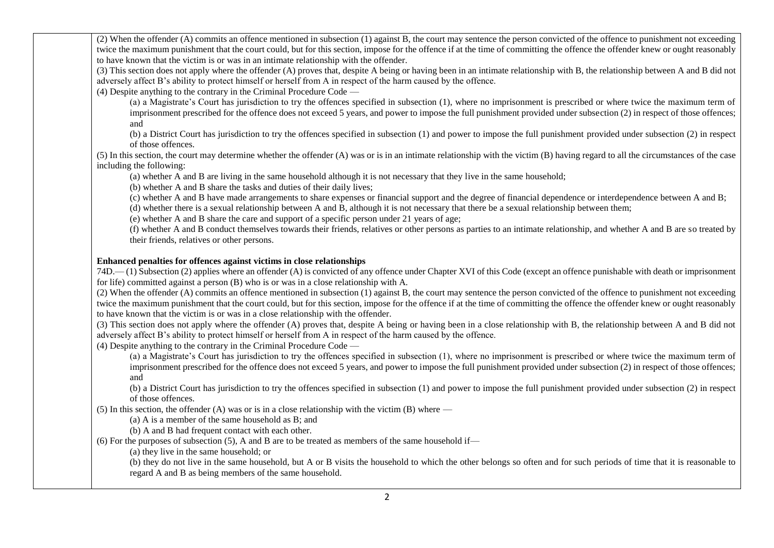(2) When the offender (A) commits an offence mentioned in subsection (1) against B, the court may sentence the person convicted of the offence to punishment not exceeding twice the maximum punishment that the court could, but for this section, impose for the offence if at the time of committing the offence the offender knew or ought reasonably to have known that the victim is or was in an intimate relationship with the offender.

(3) This section does not apply where the offender (A) proves that, despite A being or having been in an intimate relationship with B, the relationship between A and B did not adversely affect B's ability to protect himself or herself from A in respect of the harm caused by the offence.

(4) Despite anything to the contrary in the Criminal Procedure Code —

(a) a Magistrate's Court has jurisdiction to try the offences specified in subsection (1), where no imprisonment is prescribed or where twice the maximum term of imprisonment prescribed for the offence does not exceed 5 years, and power to impose the full punishment provided under subsection (2) in respect of those offences; and

(b) a District Court has jurisdiction to try the offences specified in subsection (1) and power to impose the full punishment provided under subsection (2) in respect of those offences.

(5) In this section, the court may determine whether the offender (A) was or is in an intimate relationship with the victim (B) having regard to all the circumstances of the case including the following:

(a) whether A and B are living in the same household although it is not necessary that they live in the same household;

(b) whether A and B share the tasks and duties of their daily lives;

(c) whether A and B have made arrangements to share expenses or financial support and the degree of financial dependence or interdependence between A and B;

(d) whether there is a sexual relationship between A and B, although it is not necessary that there be a sexual relationship between them;

(e) whether A and B share the care and support of a specific person under 21 years of age;

(f) whether A and B conduct themselves towards their friends, relatives or other persons as parties to an intimate relationship, and whether A and B are so treated by their friends, relatives or other persons.

## **Enhanced penalties for offences against victims in close relationships**

74D.— (1) Subsection (2) applies where an offender (A) is convicted of any offence under Chapter XVI of this Code (except an offence punishable with death or imprisonment for life) committed against a person (B) who is or was in a close relationship with A.

(2) When the offender (A) commits an offence mentioned in subsection (1) against B, the court may sentence the person convicted of the offence to punishment not exceeding twice the maximum punishment that the court could, but for this section, impose for the offence if at the time of committing the offence the offender knew or ought reasonably to have known that the victim is or was in a close relationship with the offender.

(3) This section does not apply where the offender (A) proves that, despite A being or having been in a close relationship with B, the relationship between A and B did not adversely affect B's ability to protect himself or herself from A in respect of the harm caused by the offence.

(4) Despite anything to the contrary in the Criminal Procedure Code —

(a) a Magistrate's Court has jurisdiction to try the offences specified in subsection (1), where no imprisonment is prescribed or where twice the maximum term of imprisonment prescribed for the offence does not exceed 5 years, and power to impose the full punishment provided under subsection (2) in respect of those offences; and

(b) a District Court has jurisdiction to try the offences specified in subsection (1) and power to impose the full punishment provided under subsection (2) in respect of those offences.

(5) In this section, the offender (A) was or is in a close relationship with the victim  $(B)$  where —

(a) A is a member of the same household as B; and

(b) A and B had frequent contact with each other.

(6) For the purposes of subsection (5), A and B are to be treated as members of the same household if—

(a) they live in the same household; or

(b) they do not live in the same household, but A or B visits the household to which the other belongs so often and for such periods of time that it is reasonable to regard A and B as being members of the same household.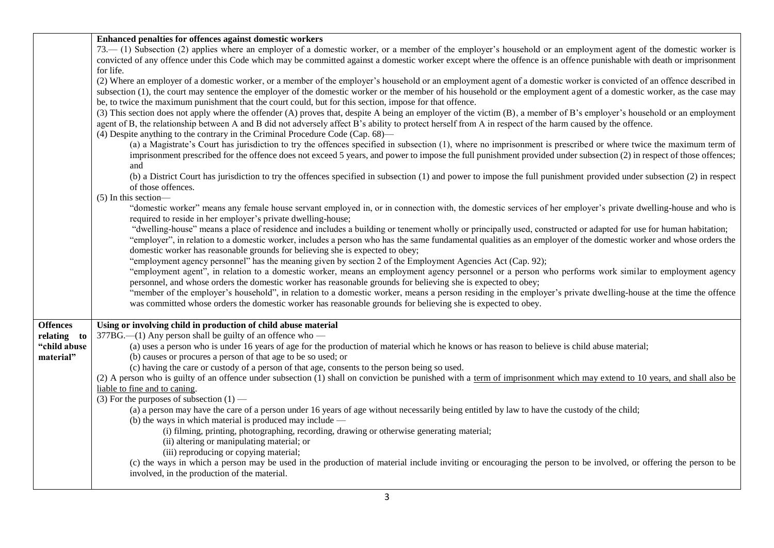|                 | Enhanced penalties for offences against domestic workers                                                                                                                  |
|-----------------|---------------------------------------------------------------------------------------------------------------------------------------------------------------------------|
|                 | 73. (1) Subsection (2) applies where an employer of a domestic worker, or a member of the employer's household or an employment agent of the domestic worker is           |
|                 | convicted of any offence under this Code which may be committed against a domestic worker except where the offence is an offence punishable with death or imprisonment    |
|                 | for life.                                                                                                                                                                 |
|                 | (2) Where an employer of a domestic worker, or a member of the employer's household or an employment agent of a domestic worker is convicted of an offence described in   |
|                 |                                                                                                                                                                           |
|                 | subsection (1), the court may sentence the employer of the domestic worker or the member of his household or the employment agent of a domestic worker, as the case may   |
|                 | be, to twice the maximum punishment that the court could, but for this section, impose for that offence.                                                                  |
|                 | (3) This section does not apply where the offender (A) proves that, despite A being an employer of the victim (B), a member of B's employer's household or an employment  |
|                 | agent of B, the relationship between A and B did not adversely affect B's ability to protect herself from A in respect of the harm caused by the offence.                 |
|                 | (4) Despite anything to the contrary in the Criminal Procedure Code (Cap. $68$ )—                                                                                         |
|                 | (a) a Magistrate's Court has jurisdiction to try the offences specified in subsection (1), where no imprisonment is prescribed or where twice the maximum term of         |
|                 |                                                                                                                                                                           |
|                 | imprisonment prescribed for the offence does not exceed 5 years, and power to impose the full punishment provided under subsection (2) in respect of those offences;      |
|                 | and                                                                                                                                                                       |
|                 | (b) a District Court has jurisdiction to try the offences specified in subsection (1) and power to impose the full punishment provided under subsection (2) in respect    |
|                 | of those offences.                                                                                                                                                        |
|                 | $(5)$ In this section—                                                                                                                                                    |
|                 | "domestic worker" means any female house servant employed in, or in connection with, the domestic services of her employer's private dwelling-house and who is            |
|                 | required to reside in her employer's private dwelling-house;                                                                                                              |
|                 | "dwelling-house" means a place of residence and includes a building or tenement wholly or principally used, constructed or adapted for use for human habitation;          |
|                 |                                                                                                                                                                           |
|                 | "employer", in relation to a domestic worker, includes a person who has the same fundamental qualities as an employer of the domestic worker and whose orders the         |
|                 | domestic worker has reasonable grounds for believing she is expected to obey;                                                                                             |
|                 | "employment agency personnel" has the meaning given by section 2 of the Employment Agencies Act (Cap. 92);                                                                |
|                 | "employment agent", in relation to a domestic worker, means an employment agency personnel or a person who performs work similar to employment agency                     |
|                 | personnel, and whose orders the domestic worker has reasonable grounds for believing she is expected to obey;                                                             |
|                 | "member of the employer's household", in relation to a domestic worker, means a person residing in the employer's private dwelling-house at the time the offence          |
|                 | was committed whose orders the domestic worker has reasonable grounds for believing she is expected to obey.                                                              |
|                 |                                                                                                                                                                           |
|                 |                                                                                                                                                                           |
| <b>Offences</b> | Using or involving child in production of child abuse material                                                                                                            |
| relating to     | 377BG.—(1) Any person shall be guilty of an offence who —                                                                                                                 |
| "child abuse    | (a) uses a person who is under 16 years of age for the production of material which he knows or has reason to believe is child abuse material;                            |
| material"       | (b) causes or procures a person of that age to be so used; or                                                                                                             |
|                 | (c) having the care or custody of a person of that age, consents to the person being so used.                                                                             |
|                 | (2) A person who is guilty of an offence under subsection (1) shall on conviction be punished with a term of imprisonment which may extend to 10 years, and shall also be |
|                 | liable to fine and to caning.                                                                                                                                             |
|                 |                                                                                                                                                                           |
|                 | (3) For the purposes of subsection $(1)$ —                                                                                                                                |
|                 | (a) a person may have the care of a person under 16 years of age without necessarily being entitled by law to have the custody of the child;                              |
|                 | (b) the ways in which material is produced may include $-$                                                                                                                |
|                 | (i) filming, printing, photographing, recording, drawing or otherwise generating material;                                                                                |
|                 | (ii) altering or manipulating material; or                                                                                                                                |
|                 | (iii) reproducing or copying material;                                                                                                                                    |
|                 | (c) the ways in which a person may be used in the production of material include inviting or encouraging the person to be involved, or offering the person to be          |
|                 |                                                                                                                                                                           |
|                 | involved, in the production of the material.                                                                                                                              |
|                 |                                                                                                                                                                           |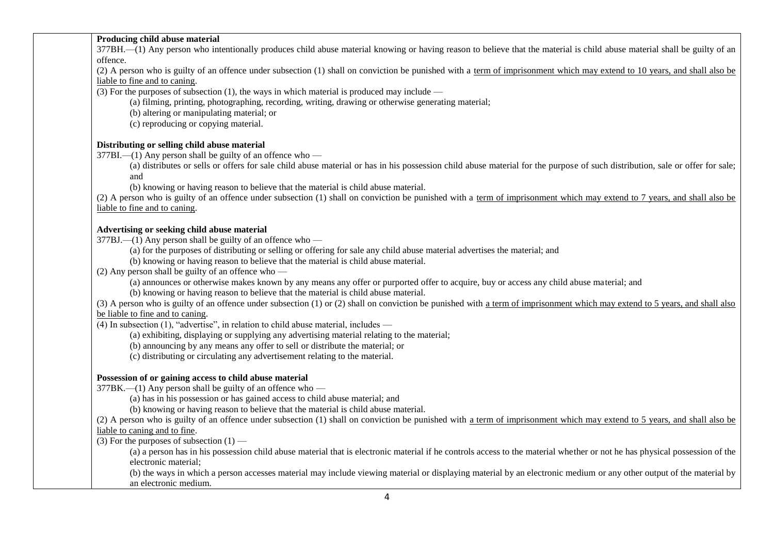## **Producing child abuse material**

377BH.—(1) Any person who intentionally produces child abuse material knowing or having reason to believe that the material is child abuse material shall be guilty of an offence.

(2) A person who is guilty of an offence under subsection (1) shall on conviction be punished with a term of imprisonment which may extend to 10 years, and shall also be liable to fine and to caning.

(3) For the purposes of subsection (1), the ways in which material is produced may include —

(a) filming, printing, photographing, recording, writing, drawing or otherwise generating material;

(b) altering or manipulating material; or

(c) reproducing or copying material.

## **Distributing or selling child abuse material**

 $377BL$ —(1) Any person shall be guilty of an offence who —

(a) distributes or sells or offers for sale child abuse material or has in his possession child abuse material for the purpose of such distribution, sale or offer for sale; and

(b) knowing or having reason to believe that the material is child abuse material.

(2) A person who is guilty of an offence under subsection (1) shall on conviction be punished with a term of imprisonment which may extend to 7 years, and shall also be liable to fine and to caning.

## **Advertising or seeking child abuse material**

377BJ.—(1) Any person shall be guilty of an offence who —

(a) for the purposes of distributing or selling or offering for sale any child abuse material advertises the material; and

(b) knowing or having reason to believe that the material is child abuse material.

(2) Any person shall be guilty of an offence who —

(a) announces or otherwise makes known by any means any offer or purported offer to acquire, buy or access any child abuse material; and

(b) knowing or having reason to believe that the material is child abuse material.

(3) A person who is guilty of an offence under subsection (1) or (2) shall on conviction be punished with a term of imprisonment which may extend to 5 years, and shall also be liable to fine and to caning.

 $(4)$  In subsection  $(1)$ , "advertise", in relation to child abuse material, includes —

(a) exhibiting, displaying or supplying any advertising material relating to the material;

(b) announcing by any means any offer to sell or distribute the material; or

(c) distributing or circulating any advertisement relating to the material.

## **Possession of or gaining access to child abuse material**

377BK.—(1) Any person shall be guilty of an offence who —

(a) has in his possession or has gained access to child abuse material; and

(b) knowing or having reason to believe that the material is child abuse material.

(2) A person who is guilty of an offence under subsection (1) shall on conviction be punished with a term of imprisonment which may extend to 5 years, and shall also be liable to caning and to fine.

(3) For the purposes of subsection  $(1)$  —

(a) a person has in his possession child abuse material that is electronic material if he controls access to the material whether or not he has physical possession of the electronic material;

(b) the ways in which a person accesses material may include viewing material or displaying material by an electronic medium or any other output of the material by an electronic medium.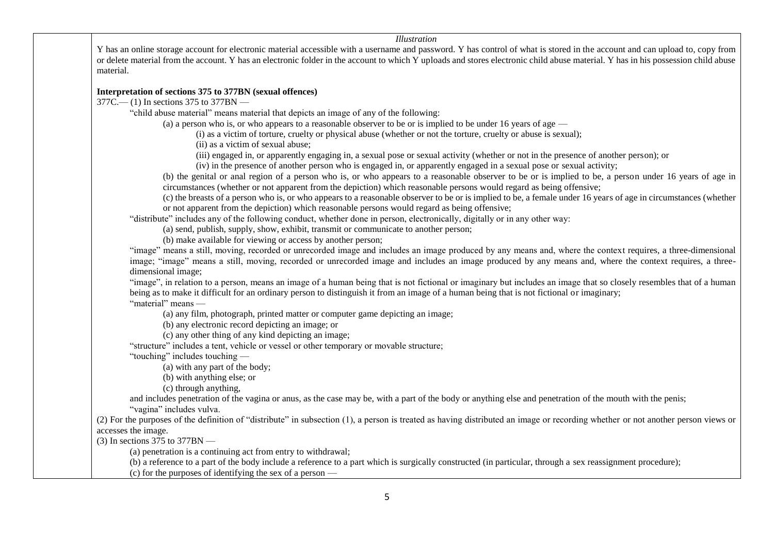#### *Illustration*

Y has an online storage account for electronic material accessible with a username and password. Y has control of what is stored in the account and can upload to, copy from or delete material from the account. Y has an electronic folder in the account to which Y uploads and stores electronic child abuse material. Y has in his possession child abuse material.

## **Interpretation of sections 375 to 377BN (sexual offences)**

377C.— (1) In sections 375 to 377BN —

"child abuse material" means material that depicts an image of any of the following:

(a) a person who is, or who appears to a reasonable observer to be or is implied to be under 16 years of age —

(i) as a victim of torture, cruelty or physical abuse (whether or not the torture, cruelty or abuse is sexual);

(ii) as a victim of sexual abuse;

(iii) engaged in, or apparently engaging in, a sexual pose or sexual activity (whether or not in the presence of another person); or

(iv) in the presence of another person who is engaged in, or apparently engaged in a sexual pose or sexual activity;

(b) the genital or anal region of a person who is, or who appears to a reasonable observer to be or is implied to be, a person under 16 years of age in circumstances (whether or not apparent from the depiction) which reasonable persons would regard as being offensive;

(c) the breasts of a person who is, or who appears to a reasonable observer to be or is implied to be, a female under 16 years of age in circumstances (whether or not apparent from the depiction) which reasonable persons would regard as being offensive;

"distribute" includes any of the following conduct, whether done in person, electronically, digitally or in any other way:

(a) send, publish, supply, show, exhibit, transmit or communicate to another person;

(b) make available for viewing or access by another person;

"image" means a still, moving, recorded or unrecorded image and includes an image produced by any means and, where the context requires, a three-dimensional image; "image" means a still, moving, recorded or unrecorded image and includes an image produced by any means and, where the context requires, a threedimensional image;

"image", in relation to a person, means an image of a human being that is not fictional or imaginary but includes an image that so closely resembles that of a human being as to make it difficult for an ordinary person to distinguish it from an image of a human being that is not fictional or imaginary; "material" means —

(a) any film, photograph, printed matter or computer game depicting an image;

(b) any electronic record depicting an image; or

(c) any other thing of any kind depicting an image;

"structure" includes a tent, vehicle or vessel or other temporary or movable structure;

"touching" includes touching —

(a) with any part of the body;

(b) with anything else; or

(c) through anything,

and includes penetration of the vagina or anus, as the case may be, with a part of the body or anything else and penetration of the mouth with the penis;

"vagina" includes vulva.

(2) For the purposes of the definition of "distribute" in subsection (1), a person is treated as having distributed an image or recording whether or not another person views or accesses the image.

(3) In sections 375 to 377BN —

(a) penetration is a continuing act from entry to withdrawal;

(b) a reference to a part of the body include a reference to a part which is surgically constructed (in particular, through a sex reassignment procedure);

(c) for the purposes of identifying the sex of a person —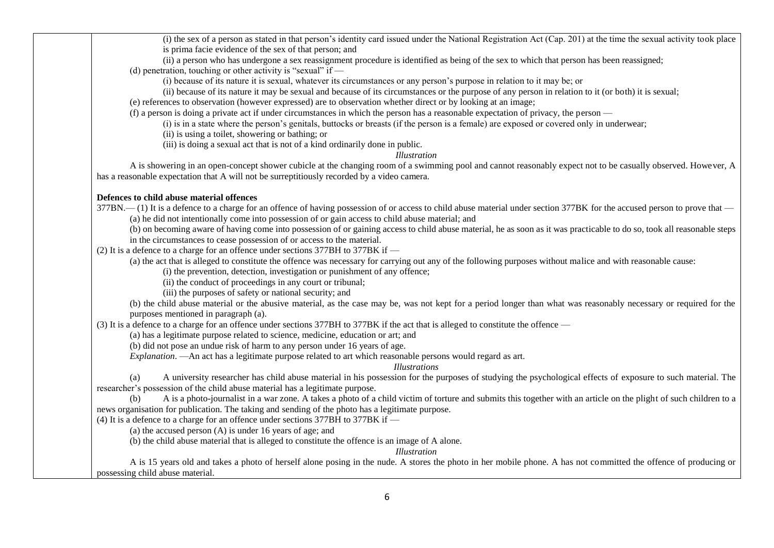(i) the sex of a person as stated in that person's identity card issued under the National Registration Act (Cap. 201) at the time the sexual activity took place is prima facie evidence of the sex of that person; and

(ii) a person who has undergone a sex reassignment procedure is identified as being of the sex to which that person has been reassigned; (d) penetration, touching or other activity is "sexual" if  $-$ 

(i) because of its nature it is sexual, whatever its circumstances or any person's purpose in relation to it may be; or

(ii) because of its nature it may be sexual and because of its circumstances or the purpose of any person in relation to it (or both) it is sexual;

(e) references to observation (however expressed) are to observation whether direct or by looking at an image;

(f) a person is doing a private act if under circumstances in which the person has a reasonable expectation of privacy, the person —

(i) is in a state where the person's genitals, buttocks or breasts (if the person is a female) are exposed or covered only in underwear;

(ii) is using a toilet, showering or bathing; or

(iii) is doing a sexual act that is not of a kind ordinarily done in public.

*Illustration*

A is showering in an open-concept shower cubicle at the changing room of a swimming pool and cannot reasonably expect not to be casually observed. However, A has a reasonable expectation that A will not be surreptitiously recorded by a video camera.

### **Defences to child abuse material offences**

377BN.— (1) It is a defence to a charge for an offence of having possession of or access to child abuse material under section 377BK for the accused person to prove that — (a) he did not intentionally come into possession of or gain access to child abuse material; and

(b) on becoming aware of having come into possession of or gaining access to child abuse material, he as soon as it was practicable to do so, took all reasonable steps in the circumstances to cease possession of or access to the material.

(2) It is a defence to a charge for an offence under sections 377BH to 377BK if —

(a) the act that is alleged to constitute the offence was necessary for carrying out any of the following purposes without malice and with reasonable cause:

(i) the prevention, detection, investigation or punishment of any offence;

(ii) the conduct of proceedings in any court or tribunal;

(iii) the purposes of safety or national security; and

(b) the child abuse material or the abusive material, as the case may be, was not kept for a period longer than what was reasonably necessary or required for the purposes mentioned in paragraph (a).

(3) It is a defence to a charge for an offence under sections 377BH to 377BK if the act that is alleged to constitute the offence —

(a) has a legitimate purpose related to science, medicine, education or art; and

(b) did not pose an undue risk of harm to any person under 16 years of age.

*Explanation*. —An act has a legitimate purpose related to art which reasonable persons would regard as art.

*Illustrations*

(a) A university researcher has child abuse material in his possession for the purposes of studying the psychological effects of exposure to such material. The researcher's possession of the child abuse material has a legitimate purpose.

(b) A is a photo-journalist in a war zone. A takes a photo of a child victim of torture and submits this together with an article on the plight of such children to a news organisation for publication. The taking and sending of the photo has a legitimate purpose.

(4) It is a defence to a charge for an offence under sections 377BH to 377BK if —

(a) the accused person (A) is under 16 years of age; and

(b) the child abuse material that is alleged to constitute the offence is an image of A alone.

*Illustration*

A is 15 years old and takes a photo of herself alone posing in the nude. A stores the photo in her mobile phone. A has not committed the offence of producing or possessing child abuse material.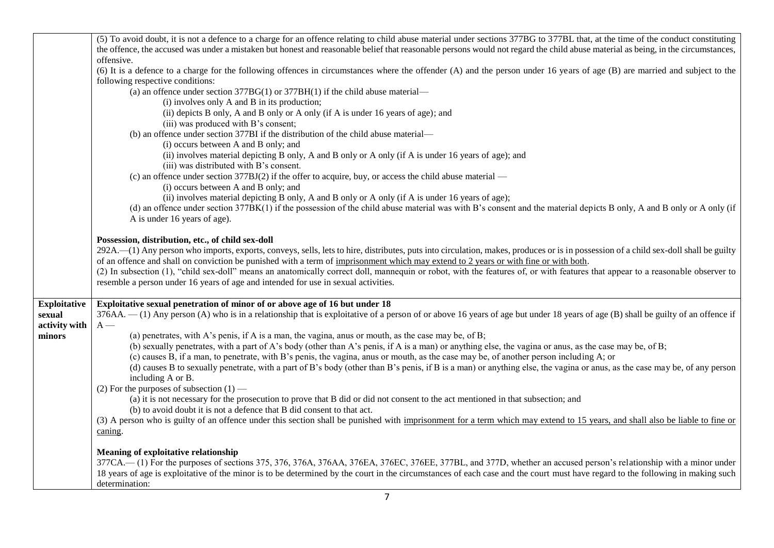|                     | (5) To avoid doubt, it is not a defence to a charge for an offence relating to child abuse material under sections 377BG to 377BL that, at the time of the conduct constituting      |
|---------------------|--------------------------------------------------------------------------------------------------------------------------------------------------------------------------------------|
|                     | the offence, the accused was under a mistaken but honest and reasonable belief that reasonable persons would not regard the child abuse material as being, in the circumstances,     |
|                     | offensive.                                                                                                                                                                           |
|                     | (6) It is a defence to a charge for the following offences in circumstances where the offender (A) and the person under 16 years of age (B) are married and subject to the           |
|                     | following respective conditions:                                                                                                                                                     |
|                     | (a) an offence under section $377BG(1)$ or $377BH(1)$ if the child abuse material—                                                                                                   |
|                     | (i) involves only A and B in its production;                                                                                                                                         |
|                     |                                                                                                                                                                                      |
|                     | (ii) depicts B only, A and B only or A only (if A is under 16 years of age); and                                                                                                     |
|                     | (iii) was produced with B's consent;                                                                                                                                                 |
|                     | (b) an offence under section 377BI if the distribution of the child abuse material—                                                                                                  |
|                     | (i) occurs between A and B only; and                                                                                                                                                 |
|                     | (ii) involves material depicting B only, A and B only or A only (if A is under 16 years of age); and                                                                                 |
|                     | (iii) was distributed with B's consent.                                                                                                                                              |
|                     | (c) an offence under section 377BJ(2) if the offer to acquire, buy, or access the child abuse material —                                                                             |
|                     | (i) occurs between A and B only; and                                                                                                                                                 |
|                     | (ii) involves material depicting B only, A and B only or A only (if A is under 16 years of age);                                                                                     |
|                     | (d) an offence under section 377BK(1) if the possession of the child abuse material was with B's consent and the material depicts B only, A and B only or A only (if                 |
|                     | A is under 16 years of age).                                                                                                                                                         |
|                     |                                                                                                                                                                                      |
|                     | Possession, distribution, etc., of child sex-doll                                                                                                                                    |
|                     | 292A.—(1) Any person who imports, exports, conveys, sells, lets to hire, distributes, puts into circulation, makes, produces or is in possession of a child sex-doll shall be guilty |
|                     | of an offence and shall on conviction be punished with a term of imprisonment which may extend to 2 years or with fine or with both.                                                 |
|                     | (2) In subsection (1), "child sex-doll" means an anatomically correct doll, mannequin or robot, with the features of, or with features that appear to a reasonable observer to       |
|                     | resemble a person under 16 years of age and intended for use in sexual activities.                                                                                                   |
|                     |                                                                                                                                                                                      |
|                     |                                                                                                                                                                                      |
| <b>Exploitative</b> | Exploitative sexual penetration of minor of or above age of 16 but under 18                                                                                                          |
| sexual              | 376AA. - (1) Any person (A) who is in a relationship that is exploitative of a person of or above 16 years of age but under 18 years of age (B) shall be guilty of an offence if     |
| activity with       | $A -$                                                                                                                                                                                |
| minors              | (a) penetrates, with A's penis, if A is a man, the vagina, anus or mouth, as the case may be, of B;                                                                                  |
|                     | (b) sexually penetrates, with a part of A's body (other than A's penis, if A is a man) or anything else, the vagina or anus, as the case may be, of B;                               |
|                     | (c) causes B, if a man, to penetrate, with B's penis, the vagina, anus or mouth, as the case may be, of another person including A; or                                               |
|                     | (d) causes B to sexually penetrate, with a part of B's body (other than B's penis, if B is a man) or anything else, the vagina or anus, as the case may be, of any person            |
|                     | including A or B.                                                                                                                                                                    |
|                     | (2) For the purposes of subsection $(1)$ —                                                                                                                                           |
|                     | (a) it is not necessary for the prosecution to prove that B did or did not consent to the act mentioned in that subsection; and                                                      |
|                     | (b) to avoid doubt it is not a defence that B did consent to that act.                                                                                                               |
|                     | (3) A person who is guilty of an offence under this section shall be punished with imprisonment for a term which may extend to 15 years, and shall also be liable to fine or         |
|                     | caning.                                                                                                                                                                              |
|                     |                                                                                                                                                                                      |
|                     | <b>Meaning of exploitative relationship</b>                                                                                                                                          |
|                     | 377CA.—(1) For the purposes of sections 375, 376, 376AA, 376AA, 376EA, 376EC, 376EE, 377BL, and 377D, whether an accused person's relationship with a minor under                    |
|                     | 18 years of age is exploitative of the minor is to be determined by the court in the circumstances of each case and the court must have regard to the following in making such       |
|                     | determination:                                                                                                                                                                       |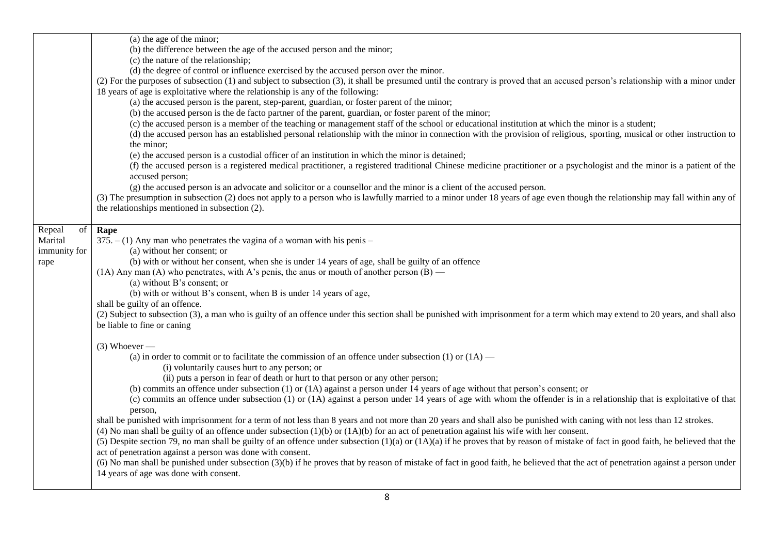|              | (a) the age of the minor;                                                                                                                                                              |
|--------------|----------------------------------------------------------------------------------------------------------------------------------------------------------------------------------------|
|              | (b) the difference between the age of the accused person and the minor;                                                                                                                |
|              | (c) the nature of the relationship;                                                                                                                                                    |
|              | (d) the degree of control or influence exercised by the accused person over the minor.                                                                                                 |
|              | (2) For the purposes of subsection (1) and subject to subsection (3), it shall be presumed until the contrary is proved that an accused person's relationship with a minor under       |
|              | 18 years of age is exploitative where the relationship is any of the following:                                                                                                        |
|              | (a) the accused person is the parent, step-parent, guardian, or foster parent of the minor;                                                                                            |
|              | (b) the accused person is the de facto partner of the parent, guardian, or foster parent of the minor;                                                                                 |
|              | (c) the accused person is a member of the teaching or management staff of the school or educational institution at which the minor is a student;                                       |
|              | (d) the accused person has an established personal relationship with the minor in connection with the provision of religious, sporting, musical or other instruction to                |
|              | the minor;                                                                                                                                                                             |
|              | (e) the accused person is a custodial officer of an institution in which the minor is detained;                                                                                        |
|              | (f) the accused person is a registered medical practitioner, a registered traditional Chinese medicine practitioner or a psychologist and the minor is a patient of the                |
|              | accused person;                                                                                                                                                                        |
|              | (g) the accused person is an advocate and solicitor or a counsellor and the minor is a client of the accused person.                                                                   |
|              | (3) The presumption in subsection (2) does not apply to a person who is lawfully married to a minor under 18 years of age even though the relationship may fall within any of          |
|              | the relationships mentioned in subsection (2).                                                                                                                                         |
|              |                                                                                                                                                                                        |
| Repeal<br>of | Rape                                                                                                                                                                                   |
| Marital      | $375. - (1)$ Any man who penetrates the vagina of a woman with his penis –                                                                                                             |
| immunity for | (a) without her consent; or                                                                                                                                                            |
| rape         | (b) with or without her consent, when she is under 14 years of age, shall be guilty of an offence                                                                                      |
|              | (1A) Any man (A) who penetrates, with A's penis, the anus or mouth of another person $(B)$ —                                                                                           |
|              | (a) without B's consent; or                                                                                                                                                            |
|              | (b) with or without B's consent, when B is under 14 years of age,                                                                                                                      |
|              | shall be guilty of an offence.                                                                                                                                                         |
|              | (2) Subject to subsection (3), a man who is guilty of an offence under this section shall be punished with imprisonment for a term which may extend to 20 years, and shall also        |
|              | be liable to fine or caning                                                                                                                                                            |
|              | $(3)$ Whoever —                                                                                                                                                                        |
|              | (a) in order to commit or to facilitate the commission of an offence under subsection (1) or $(1A)$ —                                                                                  |
|              | (i) voluntarily causes hurt to any person; or                                                                                                                                          |
|              | (ii) puts a person in fear of death or hurt to that person or any other person;                                                                                                        |
|              | (b) commits an offence under subsection $(1)$ or $(1A)$ against a person under 14 years of age without that person's consent; or                                                       |
|              | (c) commits an offence under subsection (1) or (1A) against a person under 14 years of age with whom the offender is in a relationship that is exploitative of that                    |
|              | person,                                                                                                                                                                                |
|              | shall be punished with imprisonment for a term of not less than 8 years and not more than 20 years and shall also be punished with caning with not less than 12 strokes.               |
|              | (4) No man shall be guilty of an offence under subsection $(1)(b)$ or $(1)(b)$ for an act of penetration against his wife with her consent.                                            |
|              | (5) Despite section 79, no man shall be guilty of an offence under subsection $(1)(a)$ or $(1A)(a)$ if he proves that by reason of mistake of fact in good faith, he believed that the |
|              | act of penetration against a person was done with consent.                                                                                                                             |
|              | (6) No man shall be punished under subsection (3)(b) if he proves that by reason of mistake of fact in good faith, he believed that the act of penetration against a person under      |
|              | 14 years of age was done with consent.                                                                                                                                                 |
|              |                                                                                                                                                                                        |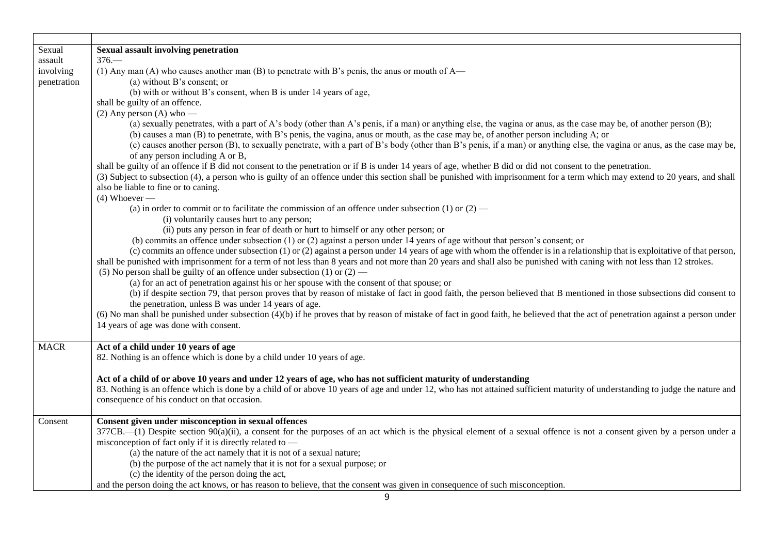| Sexual       | <b>Sexual assault involving penetration</b>                                                                                                                                                                                           |
|--------------|---------------------------------------------------------------------------------------------------------------------------------------------------------------------------------------------------------------------------------------|
| $\,$ assault | $376-$                                                                                                                                                                                                                                |
| involving    | (1) Any man (A) who causes another man (B) to penetrate with B's penis, the anus or mouth of $A$ —                                                                                                                                    |
| penetration  | (a) without B's consent; or                                                                                                                                                                                                           |
|              | (b) with or without B's consent, when B is under 14 years of age,                                                                                                                                                                     |
|              | shall be guilty of an offence.                                                                                                                                                                                                        |
|              | $(2)$ Any person $(A)$ who —                                                                                                                                                                                                          |
|              | (a) sexually penetrates, with a part of A's body (other than A's penis, if a man) or anything else, the vagina or anus, as the case may be, of another person (B);                                                                    |
|              | (b) causes a man (B) to penetrate, with B's penis, the vagina, anus or mouth, as the case may be, of another person including A; or                                                                                                   |
|              | (c) causes another person (B), to sexually penetrate, with a part of B's body (other than B's penis, if a man) or anything else, the vagina or anus, as the case may be,                                                              |
|              | of any person including A or B,                                                                                                                                                                                                       |
|              | shall be guilty of an offence if B did not consent to the penetration or if B is under 14 years of age, whether B did or did not consent to the penetration.                                                                          |
|              | (3) Subject to subsection (4), a person who is guilty of an offence under this section shall be punished with imprisonment for a term which may extend to 20 years, and shall                                                         |
|              | also be liable to fine or to caning.                                                                                                                                                                                                  |
|              | $(4)$ Whoever —                                                                                                                                                                                                                       |
|              | (a) in order to commit or to facilitate the commission of an offence under subsection (1) or $(2)$ —                                                                                                                                  |
|              | (i) voluntarily causes hurt to any person;                                                                                                                                                                                            |
|              | (ii) puts any person in fear of death or hurt to himself or any other person; or                                                                                                                                                      |
|              | (b) commits an offence under subsection $(1)$ or $(2)$ against a person under 14 years of age without that person's consent; or                                                                                                       |
|              | (c) commits an offence under subsection (1) or (2) against a person under 14 years of age with whom the offender is in a relationship that is exploitative of that person,                                                            |
|              | shall be punished with imprisonment for a term of not less than 8 years and not more than 20 years and shall also be punished with caning with not less than 12 strokes.                                                              |
|              | (5) No person shall be guilty of an offence under subsection (1) or $(2)$ —                                                                                                                                                           |
|              | (a) for an act of penetration against his or her spouse with the consent of that spouse; or                                                                                                                                           |
|              | (b) if despite section 79, that person proves that by reason of mistake of fact in good faith, the person believed that B mentioned in those subsections did consent to                                                               |
|              | the penetration, unless B was under 14 years of age.                                                                                                                                                                                  |
|              | (6) No man shall be punished under subsection (4)(b) if he proves that by reason of mistake of fact in good faith, he believed that the act of penetration against a person under                                                     |
|              | 14 years of age was done with consent.                                                                                                                                                                                                |
|              |                                                                                                                                                                                                                                       |
| <b>MACR</b>  | Act of a child under 10 years of age                                                                                                                                                                                                  |
|              | 82. Nothing is an offence which is done by a child under 10 years of age.                                                                                                                                                             |
|              |                                                                                                                                                                                                                                       |
|              | Act of a child of or above 10 years and under 12 years of age, who has not sufficient maturity of understanding                                                                                                                       |
|              | 83. Nothing is an offence which is done by a child of or above 10 years of age and under 12, who has not attained sufficient maturity of understanding to judge the nature and                                                        |
|              | consequence of his conduct on that occasion.                                                                                                                                                                                          |
|              |                                                                                                                                                                                                                                       |
| Consent      | Consent given under misconception in sexual offences<br>$377CB$ . (1) Despite section $90(a)(ii)$ , a consent for the purposes of an act which is the physical element of a sexual offence is not a consent given by a person under a |
|              | misconception of fact only if it is directly related to -                                                                                                                                                                             |
|              | (a) the nature of the act namely that it is not of a sexual nature;                                                                                                                                                                   |
|              | (b) the purpose of the act namely that it is not for a sexual purpose; or                                                                                                                                                             |
|              | (c) the identity of the person doing the act,                                                                                                                                                                                         |
|              | and the person doing the act knows, or has reason to believe, that the consent was given in consequence of such misconception.                                                                                                        |
|              |                                                                                                                                                                                                                                       |
|              | 9                                                                                                                                                                                                                                     |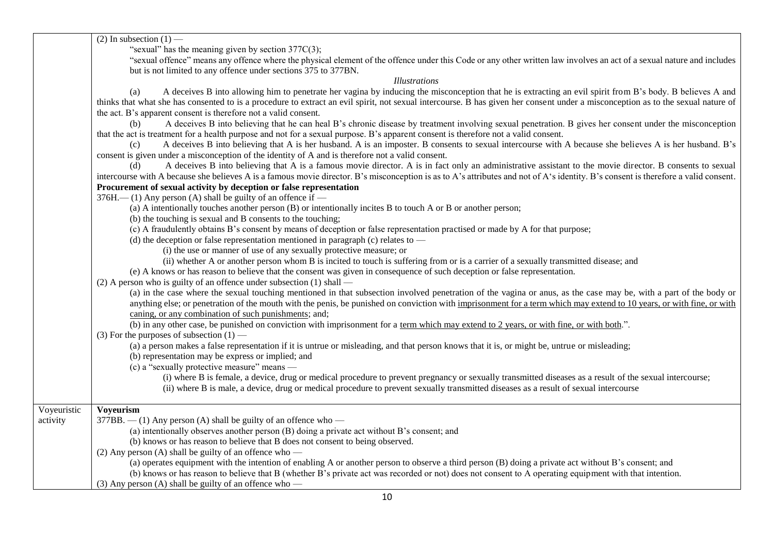|             | $(2)$ In subsection $(1)$ —                                                                                                                                                                                                                                                                                                                |
|-------------|--------------------------------------------------------------------------------------------------------------------------------------------------------------------------------------------------------------------------------------------------------------------------------------------------------------------------------------------|
|             | "sexual" has the meaning given by section $377C(3)$ ;                                                                                                                                                                                                                                                                                      |
|             | "sexual offence" means any offence where the physical element of the offence under this Code or any other written law involves an act of a sexual nature and includes<br>but is not limited to any offence under sections 375 to 377BN.                                                                                                    |
|             | <i>Illustrations</i>                                                                                                                                                                                                                                                                                                                       |
|             | A deceives B into allowing him to penetrate her vagina by inducing the misconception that he is extracting an evil spirit from B's body. B believes A and<br>(a)                                                                                                                                                                           |
|             | thinks that what she has consented to is a procedure to extract an evil spirit, not sexual intercourse. B has given her consent under a misconception as to the sexual nature of                                                                                                                                                           |
|             | the act. B's apparent consent is therefore not a valid consent.                                                                                                                                                                                                                                                                            |
|             | A deceives B into believing that he can heal B's chronic disease by treatment involving sexual penetration. B gives her consent under the misconception<br>(b)<br>that the act is treatment for a health purpose and not for a sexual purpose. B's apparent consent is therefore not a valid consent.                                      |
|             | A deceives B into believing that A is her husband. A is an imposter. B consents to sexual intercourse with A because she believes A is her husband. B's<br>(c)<br>consent is given under a misconception of the identity of A and is therefore not a valid consent.                                                                        |
|             | A deceives B into believing that A is a famous movie director. A is in fact only an administrative assistant to the movie director. B consents to sexual                                                                                                                                                                                   |
|             | intercourse with A because she believes A is a famous movie director. B's misconception is as to A's attributes and not of A's identity. B's consent is therefore a valid consent.                                                                                                                                                         |
|             | Procurement of sexual activity by deception or false representation                                                                                                                                                                                                                                                                        |
|             | $376H$ – (1) Any person (A) shall be guilty of an offence if –                                                                                                                                                                                                                                                                             |
|             | (a) A intentionally touches another person (B) or intentionally incites B to touch A or B or another person;                                                                                                                                                                                                                               |
|             | (b) the touching is sexual and B consents to the touching;                                                                                                                                                                                                                                                                                 |
|             | (c) A fraudulently obtains B's consent by means of deception or false representation practised or made by A for that purpose;                                                                                                                                                                                                              |
|             | (d) the deception or false representation mentioned in paragraph (c) relates to $-$                                                                                                                                                                                                                                                        |
|             | (i) the use or manner of use of any sexually protective measure; or                                                                                                                                                                                                                                                                        |
|             | (ii) whether A or another person whom B is incited to touch is suffering from or is a carrier of a sexually transmitted disease; and                                                                                                                                                                                                       |
|             | (e) A knows or has reason to believe that the consent was given in consequence of such deception or false representation.                                                                                                                                                                                                                  |
|             | $(2)$ A person who is guilty of an offence under subsection $(1)$ shall —                                                                                                                                                                                                                                                                  |
|             | (a) in the case where the sexual touching mentioned in that subsection involved penetration of the vagina or anus, as the case may be, with a part of the body or<br>anything else; or penetration of the mouth with the penis, be punished on conviction with imprisonment for a term which may extend to 10 years, or with fine, or with |
|             | caning, or any combination of such punishments; and;                                                                                                                                                                                                                                                                                       |
|             | (b) in any other case, be punished on conviction with imprisonment for a term which may extend to 2 years, or with fine, or with both.".                                                                                                                                                                                                   |
|             | (3) For the purposes of subsection $(1)$ —                                                                                                                                                                                                                                                                                                 |
|             | (a) a person makes a false representation if it is untrue or misleading, and that person knows that it is, or might be, untrue or misleading;                                                                                                                                                                                              |
|             | (b) representation may be express or implied; and                                                                                                                                                                                                                                                                                          |
|             | (c) a "sexually protective measure" means —                                                                                                                                                                                                                                                                                                |
|             | (i) where B is female, a device, drug or medical procedure to prevent pregnancy or sexually transmitted diseases as a result of the sexual intercourse;                                                                                                                                                                                    |
|             | (ii) where B is male, a device, drug or medical procedure to prevent sexually transmitted diseases as a result of sexual intercourse                                                                                                                                                                                                       |
| Voyeuristic | <b>Voyeurism</b>                                                                                                                                                                                                                                                                                                                           |
| activity    | $377BB$ . $- (1)$ Any person (A) shall be guilty of an offence who $-$                                                                                                                                                                                                                                                                     |
|             | (a) intentionally observes another person (B) doing a private act without B's consent; and                                                                                                                                                                                                                                                 |
|             | (b) knows or has reason to believe that B does not consent to being observed.                                                                                                                                                                                                                                                              |
|             | (2) Any person (A) shall be guilty of an offence who $-$                                                                                                                                                                                                                                                                                   |
|             | (a) operates equipment with the intention of enabling A or another person to observe a third person (B) doing a private act without B's consent; and                                                                                                                                                                                       |
|             | (b) knows or has reason to believe that B (whether B's private act was recorded or not) does not consent to A operating equipment with that intention.                                                                                                                                                                                     |
|             | $(3)$ Any person (A) shall be guilty of an offence who —                                                                                                                                                                                                                                                                                   |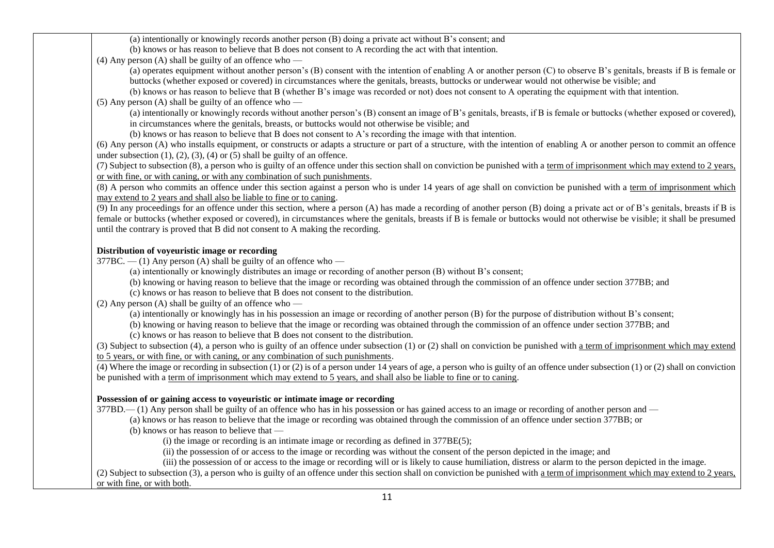(a) intentionally or knowingly records another person (B) doing a private act without B's consent; and

(b) knows or has reason to believe that B does not consent to A recording the act with that intention.

(4) Any person (A) shall be guilty of an offence who —

(a) operates equipment without another person's (B) consent with the intention of enabling A or another person (C) to observe B's genitals, breasts if B is female or buttocks (whether exposed or covered) in circumstances where the genitals, breasts, buttocks or underwear would not otherwise be visible; and

(b) knows or has reason to believe that B (whether B's image was recorded or not) does not consent to A operating the equipment with that intention.

(5) Any person (A) shall be guilty of an offence who —

(a) intentionally or knowingly records without another person's (B) consent an image of B's genitals, breasts, if B is female or buttocks (whether exposed or covered), in circumstances where the genitals, breasts, or buttocks would not otherwise be visible; and

(b) knows or has reason to believe that B does not consent to A's recording the image with that intention.

(6) Any person (A) who installs equipment, or constructs or adapts a structure or part of a structure, with the intention of enabling A or another person to commit an offence under subsection  $(1)$ ,  $(2)$ ,  $(3)$ ,  $(4)$  or  $(5)$  shall be guilty of an offence.

(7) Subject to subsection (8), a person who is guilty of an offence under this section shall on conviction be punished with a term of imprisonment which may extend to 2 years, or with fine, or with caning, or with any combination of such punishments.

(8) A person who commits an offence under this section against a person who is under 14 years of age shall on conviction be punished with a term of imprisonment which may extend to 2 years and shall also be liable to fine or to caning.

(9) In any proceedings for an offence under this section, where a person (A) has made a recording of another person (B) doing a private act or of B's genitals, breasts if B is female or buttocks (whether exposed or covered), in circumstances where the genitals, breasts if B is female or buttocks would not otherwise be visible; it shall be presumed until the contrary is proved that B did not consent to A making the recording.

# **Distribution of voyeuristic image or recording**

 $377BC. - (1)$  Any person (A) shall be guilty of an offence who  $-$ 

(a) intentionally or knowingly distributes an image or recording of another person (B) without B's consent;

(b) knowing or having reason to believe that the image or recording was obtained through the commission of an offence under section 377BB; and

(c) knows or has reason to believe that B does not consent to the distribution.

(2) Any person (A) shall be guilty of an offence who —

(a) intentionally or knowingly has in his possession an image or recording of another person (B) for the purpose of distribution without B's consent;

(b) knowing or having reason to believe that the image or recording was obtained through the commission of an offence under section 377BB; and

(c) knows or has reason to believe that B does not consent to the distribution.

(3) Subject to subsection (4), a person who is guilty of an offence under subsection (1) or (2) shall on conviction be punished with a term of imprisonment which may extend to 5 years, or with fine, or with caning, or any combination of such punishments.

(4) Where the image or recording in subsection (1) or (2) is of a person under 14 years of age, a person who is guilty of an offence under subsection (1) or (2) shall on conviction be punished with a term of imprisonment which may extend to 5 years, and shall also be liable to fine or to caning.

# **Possession of or gaining access to voyeuristic or intimate image or recording**

377BD.— (1) Any person shall be guilty of an offence who has in his possession or has gained access to an image or recording of another person and —

(a) knows or has reason to believe that the image or recording was obtained through the commission of an offence under section 377BB; or

(b) knows or has reason to believe that —

(i) the image or recording is an intimate image or recording as defined in 377BE(5);

(ii) the possession of or access to the image or recording was without the consent of the person depicted in the image; and

(iii) the possession of or access to the image or recording will or is likely to cause humiliation, distress or alarm to the person depicted in the image.

(2) Subject to subsection (3), a person who is guilty of an offence under this section shall on conviction be punished with a term of imprisonment which may extend to 2 years, or with fine, or with both.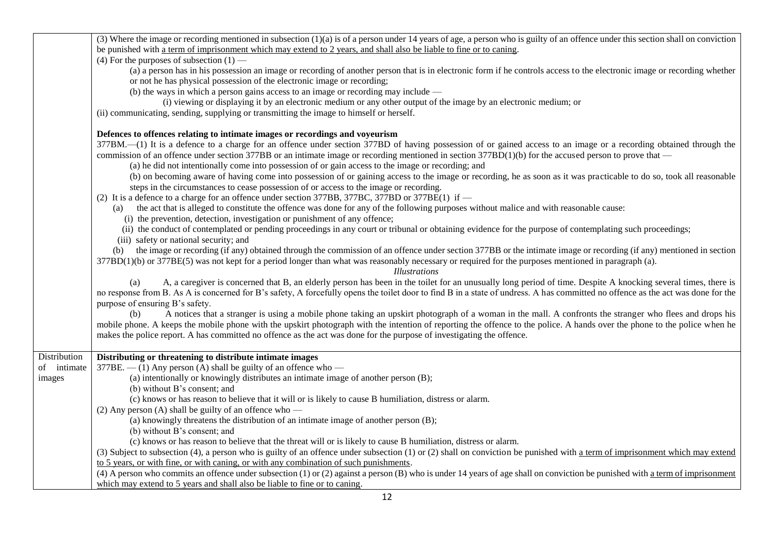|              | (3) Where the image or recording mentioned in subsection (1)(a) is of a person under 14 years of age, a person who is guilty of an offence under this section shall on conviction |
|--------------|-----------------------------------------------------------------------------------------------------------------------------------------------------------------------------------|
|              | be punished with a term of imprisonment which may extend to 2 years, and shall also be liable to fine or to caning.                                                               |
|              | (4) For the purposes of subsection $(1)$ —                                                                                                                                        |
|              | (a) a person has in his possession an image or recording of another person that is in electronic form if he controls access to the electronic image or recording whether          |
|              | or not he has physical possession of the electronic image or recording;                                                                                                           |
|              | (b) the ways in which a person gains access to an image or recording may include $-$                                                                                              |
|              | (i) viewing or displaying it by an electronic medium or any other output of the image by an electronic medium; or                                                                 |
|              | (ii) communicating, sending, supplying or transmitting the image to himself or herself.                                                                                           |
|              | Defences to offences relating to intimate images or recordings and voyeurism                                                                                                      |
|              | 377BM.—(1) It is a defence to a charge for an offence under section 377BD of having possession of or gained access to an image or a recording obtained through the                |
|              | commission of an offence under section 377BB or an intimate image or recording mentioned in section 377BD(1)(b) for the accused person to prove that —                            |
|              | (a) he did not intentionally come into possession of or gain access to the image or recording; and                                                                                |
|              | (b) on becoming aware of having come into possession of or gaining access to the image or recording, he as soon as it was practicable to do so, took all reasonable               |
|              | steps in the circumstances to cease possession of or access to the image or recording.                                                                                            |
|              | (2) It is a defence to a charge for an offence under section 377BB, 377BC, 377BD or 377BE(1) if —                                                                                 |
|              | the act that is alleged to constitute the offence was done for any of the following purposes without malice and with reasonable cause:<br>(a)                                     |
|              | (i) the prevention, detection, investigation or punishment of any offence;                                                                                                        |
|              | (ii) the conduct of contemplated or pending proceedings in any court or tribunal or obtaining evidence for the purpose of contemplating such proceedings;                         |
|              | (iii) safety or national security; and                                                                                                                                            |
|              | (b) the image or recording (if any) obtained through the commission of an offence under section 377BB or the intimate image or recording (if any) mentioned in section            |
|              | 377BD(1)(b) or 377BE(5) was not kept for a period longer than what was reasonably necessary or required for the purposes mentioned in paragraph (a).                              |
|              | <i>Illustrations</i>                                                                                                                                                              |
|              | A, a caregiver is concerned that B, an elderly person has been in the toilet for an unusually long period of time. Despite A knocking several times, there is<br>(a)              |
|              | no response from B. As A is concerned for B's safety, A forcefully opens the toilet door to find B in a state of undress. A has committed no offence as the act was done for the  |
|              | purpose of ensuring B's safety.                                                                                                                                                   |
|              | A notices that a stranger is using a mobile phone taking an upskirt photograph of a woman in the mall. A confronts the stranger who flees and drops his<br>(b)                    |
|              | mobile phone. A keeps the mobile phone with the upskirt photograph with the intention of reporting the offence to the police. A hands over the phone to the police when he        |
|              | makes the police report. A has committed no offence as the act was done for the purpose of investigating the offence.                                                             |
|              |                                                                                                                                                                                   |
| Distribution | Distributing or threatening to distribute intimate images                                                                                                                         |
| of intimate  | $377BE$ . $- (1)$ Any person (A) shall be guilty of an offence who $-$                                                                                                            |
| images       | (a) intentionally or knowingly distributes an intimate image of another person (B);                                                                                               |
|              | (b) without B's consent; and                                                                                                                                                      |
|              | (c) knows or has reason to believe that it will or is likely to cause B humiliation, distress or alarm.                                                                           |
|              | (2) Any person (A) shall be guilty of an offence who $-$                                                                                                                          |
|              | (a) knowingly threatens the distribution of an intimate image of another person (B);                                                                                              |
|              | (b) without B's consent; and                                                                                                                                                      |
|              | (c) knows or has reason to believe that the threat will or is likely to cause B humiliation, distress or alarm.                                                                   |
|              | (3) Subject to subsection (4), a person who is guilty of an offence under subsection (1) or (2) shall on conviction be punished with a term of imprisonment which may extend      |
|              | to 5 years, or with fine, or with caning, or with any combination of such punishments.                                                                                            |
|              | (4) A person who commits an offence under subsection (1) or (2) against a person (B) who is under 14 years of age shall on conviction be punished with a term of imprisonment     |
|              | which may extend to 5 years and shall also be liable to fine or to caning.                                                                                                        |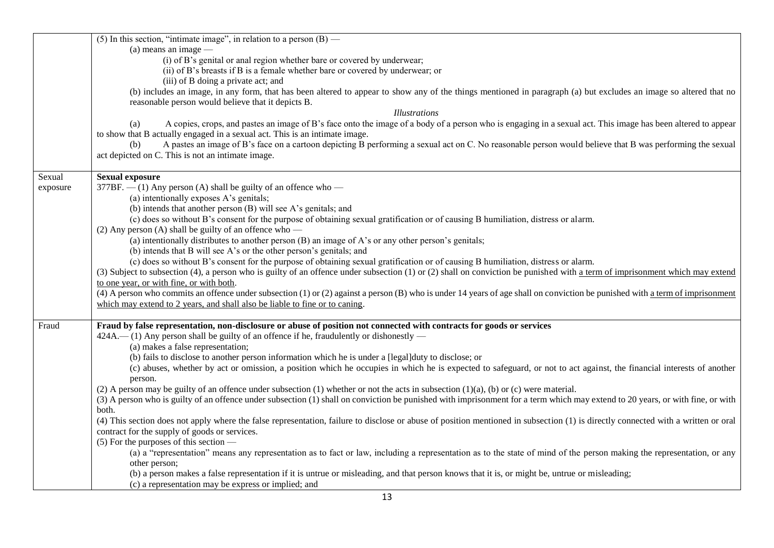|          | (5) In this section, "intimate image", in relation to a person $(B)$ —                                                                                                            |
|----------|-----------------------------------------------------------------------------------------------------------------------------------------------------------------------------------|
|          | $(a)$ means an image —                                                                                                                                                            |
|          | (i) of B's genital or anal region whether bare or covered by underwear;                                                                                                           |
|          | (ii) of B's breasts if B is a female whether bare or covered by underwear; or                                                                                                     |
|          | (iii) of B doing a private act; and                                                                                                                                               |
|          | (b) includes an image, in any form, that has been altered to appear to show any of the things mentioned in paragraph (a) but excludes an image so altered that no                 |
|          | reasonable person would believe that it depicts B.                                                                                                                                |
|          | <i>Illustrations</i>                                                                                                                                                              |
|          | A copies, crops, and pastes an image of B's face onto the image of a body of a person who is engaging in a sexual act. This image has been altered to appear<br>(a)               |
|          | to show that B actually engaged in a sexual act. This is an intimate image.                                                                                                       |
|          | A pastes an image of B's face on a cartoon depicting B performing a sexual act on C. No reasonable person would believe that B was performing the sexual<br>(b)                   |
|          | act depicted on C. This is not an intimate image.                                                                                                                                 |
|          |                                                                                                                                                                                   |
| Sexual   | <b>Sexual exposure</b>                                                                                                                                                            |
| exposure | $377BF$ . $- (1)$ Any person (A) shall be guilty of an offence who $-$                                                                                                            |
|          | (a) intentionally exposes A's genitals;                                                                                                                                           |
|          | (b) intends that another person (B) will see A's genitals; and                                                                                                                    |
|          | (c) does so without B's consent for the purpose of obtaining sexual gratification or of causing B humiliation, distress or alarm.                                                 |
|          | (2) Any person (A) shall be guilty of an offence who $-$                                                                                                                          |
|          | (a) intentionally distributes to another person (B) an image of A's or any other person's genitals;                                                                               |
|          | (b) intends that B will see A's or the other person's genitals; and                                                                                                               |
|          | (c) does so without B's consent for the purpose of obtaining sexual gratification or of causing B humiliation, distress or alarm.                                                 |
|          | (3) Subject to subsection (4), a person who is guilty of an offence under subsection (1) or (2) shall on conviction be punished with a term of imprisonment which may extend      |
|          |                                                                                                                                                                                   |
|          | to one year, or with fine, or with both.                                                                                                                                          |
|          | (4) A person who commits an offence under subsection (1) or (2) against a person (B) who is under 14 years of age shall on conviction be punished with a term of imprisonment     |
|          | which may extend to 2 years, and shall also be liable to fine or to caning.                                                                                                       |
| Fraud    | Fraud by false representation, non-disclosure or abuse of position not connected with contracts for goods or services                                                             |
|          | 424A.—(1) Any person shall be guilty of an offence if he, fraudulently or dishonestly —                                                                                           |
|          | (a) makes a false representation;                                                                                                                                                 |
|          |                                                                                                                                                                                   |
|          | (b) fails to disclose to another person information which he is under a [legal]duty to disclose; or                                                                               |
|          | (c) abuses, whether by act or omission, a position which he occupies in which he is expected to safeguard, or not to act against, the financial interests of another              |
|          | person.                                                                                                                                                                           |
|          | (2) A person may be guilty of an offence under subsection (1) whether or not the acts in subsection $(1)(a)$ , (b) or (c) were material.                                          |
|          | (3) A person who is guilty of an offence under subsection (1) shall on conviction be punished with imprisonment for a term which may extend to 20 years, or with fine, or with    |
|          | both.                                                                                                                                                                             |
|          | (4) This section does not apply where the false representation, failure to disclose or abuse of position mentioned in subsection (1) is directly connected with a written or oral |
|          | contract for the supply of goods or services.                                                                                                                                     |
|          | $(5)$ For the purposes of this section —                                                                                                                                          |
|          | (a) a "representation" means any representation as to fact or law, including a representation as to the state of mind of the person making the representation, or any             |
|          | other person;                                                                                                                                                                     |
|          | (b) a person makes a false representation if it is untrue or misleading, and that person knows that it is, or might be, untrue or misleading;                                     |
|          | (c) a representation may be express or implied; and                                                                                                                               |